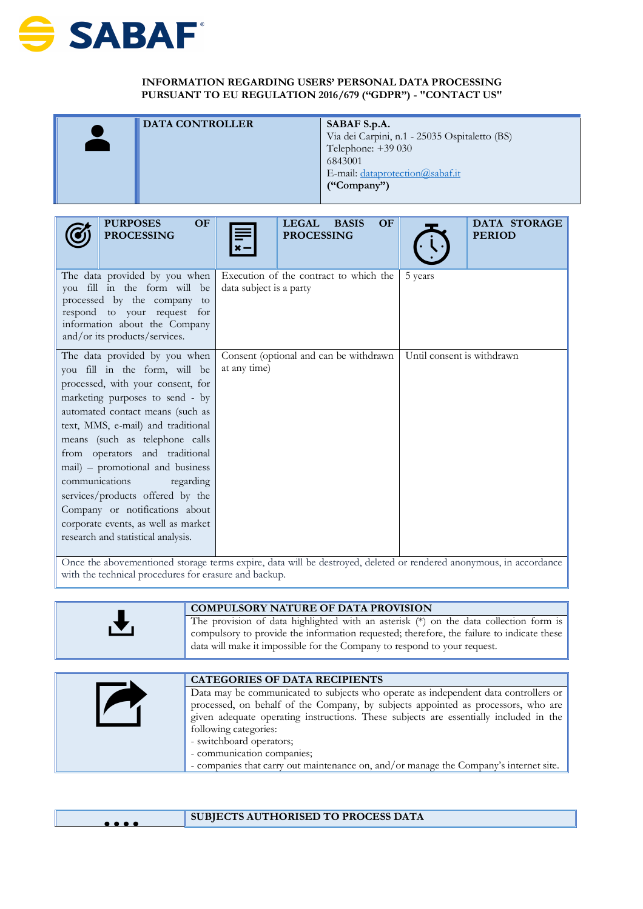

## **INFORMATION REGARDING USERS' PERSONAL DATA PROCESSING PURSUANT TO EU REGULATION 2016/679 ("GDPR") - "CONTACT US"**

| <b>DATA CONTROLLER</b> | SABAF S.p.A.<br>Via dei Carpini, n.1 - 25035 Ospitaletto (BS)<br>Telephone: $+39030$<br>6843001 |
|------------------------|-------------------------------------------------------------------------------------------------|
|                        | E-mail: dataprotection@sabaf.it<br>("Compary")                                                  |

| OF<br><b>PURPOSES</b><br><b>PROCESSING</b>                                                                                                                                                                                                                                                                                                                                                                                                                                                                 | <b>LEGAL</b><br><b>OF</b><br><b>BASIS</b><br><b>PROCESSING</b>    | DATA STORAGE<br><b>PERIOD</b> |
|------------------------------------------------------------------------------------------------------------------------------------------------------------------------------------------------------------------------------------------------------------------------------------------------------------------------------------------------------------------------------------------------------------------------------------------------------------------------------------------------------------|-------------------------------------------------------------------|-------------------------------|
| The data provided by you when<br>you fill in the form will be<br>processed by the company<br>to<br>respond to your request for<br>information about the Company<br>and/or its products/services.                                                                                                                                                                                                                                                                                                           | Execution of the contract to which the<br>data subject is a party | 5 years                       |
| The data provided by you when<br>you fill in the form, will be<br>processed, with your consent, for<br>marketing purposes to send - by<br>automated contact means (such as<br>text, MMS, e-mail) and traditional<br>means (such as telephone calls<br>from operators and traditional<br>mail) – promotional and business<br>communications<br>regarding<br>services/products offered by the<br>Company or notifications about<br>corporate events, as well as market<br>research and statistical analysis. | Consent (optional and can be withdrawn<br>at any time)            | Until consent is withdrawn    |

Once the abovementioned storage terms expire, data will be destroyed, deleted or rendered anonymous, in accordance with the technical procedures for erasure and backup.

| I V<br>data will make it impossible for the Company to respond to your request. | <b>COMPULSORY NATURE OF DATA PROVISION</b>                                                                                                                                         |
|---------------------------------------------------------------------------------|------------------------------------------------------------------------------------------------------------------------------------------------------------------------------------|
|                                                                                 | The provision of data highlighted with an asterisk (*) on the data collection form is<br>compulsory to provide the information requested; therefore, the failure to indicate these |

| <b>CATEGORIES OF DATA RECIPIENTS</b>                                                                                                                                     |
|--------------------------------------------------------------------------------------------------------------------------------------------------------------------------|
| Data may be communicated to subjects who operate as independent data controllers or<br>processed, on behalf of the Company, by subjects appointed as processors, who are |
| given adequate operating instructions. These subjects are essentially included in the<br>following categories:                                                           |
| - switchboard operators;                                                                                                                                                 |
| - communication companies;                                                                                                                                               |
| - companies that carry out maintenance on, and/or manage the Company's internet site.                                                                                    |

| $\bullet\bullet\bullet\bullet$ | SUBJECTS AUTHORISED TO PROCESS DATA |
|--------------------------------|-------------------------------------|
|                                |                                     |